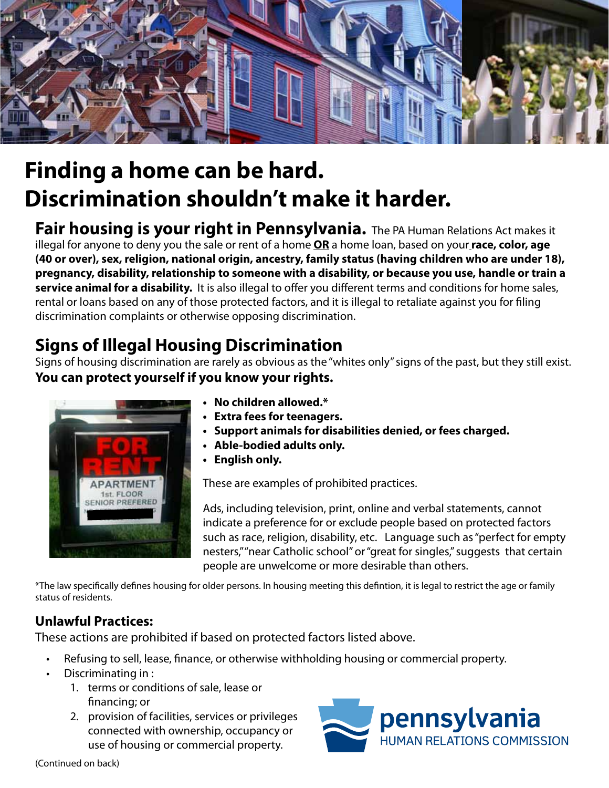

## **Finding a home can be hard. Discrimination shouldn't make it harder.**

**Fair housing is your right in Pennsylvania.** The PA Human Relations Act makes it illegal for anyone to deny you the sale or rent of a home **OR** a home loan, based on your**race, color, age (40 or over), sex, religion, national origin, ancestry, family status (having children who are under 18), pregnancy, disability, relationship to someone with a disability, or because you use, handle or train a service animal for a disability.** It is also illegal to offer you different terms and conditions for home sales, rental or loans based on any of those protected factors, and it is illegal to retaliate against you for filing discrimination complaints or otherwise opposing discrimination.

## **Signs of Illegal Housing Discrimination**

Signs of housing discrimination are rarely as obvious as the "whites only" signs of the past, but they still exist. **You can protect yourself if you know your rights.**



- **• No children allowed.\***
- **• Extra fees for teenagers.**
- **• Support animals for disabilities denied, or fees charged.**
- **• Able-bodied adults only.**
- **• English only.**

These are examples of prohibited practices.

Ads, including television, print, online and verbal statements, cannot indicate a preference for or exclude people based on protected factors such as race, religion, disability, etc. Language such as "perfect for empty nesters," "near Catholic school" or "great for singles," suggests that certain people are unwelcome or more desirable than others.

\*The law specifically defines housing for older persons. In housing meeting this defintion, it is legal to restrict the age or family status of residents.

#### **Unlawful Practices:**

These actions are prohibited if based on protected factors listed above.

- Refusing to sell, lease, finance, or otherwise withholding housing or commercial property.
- Discriminating in :
	- 1. terms or conditions of sale, lease or financing; or
	- 2. provision of facilities, services or privileges connected with ownership, occupancy or use of housing or commercial property.



(Continued on back)